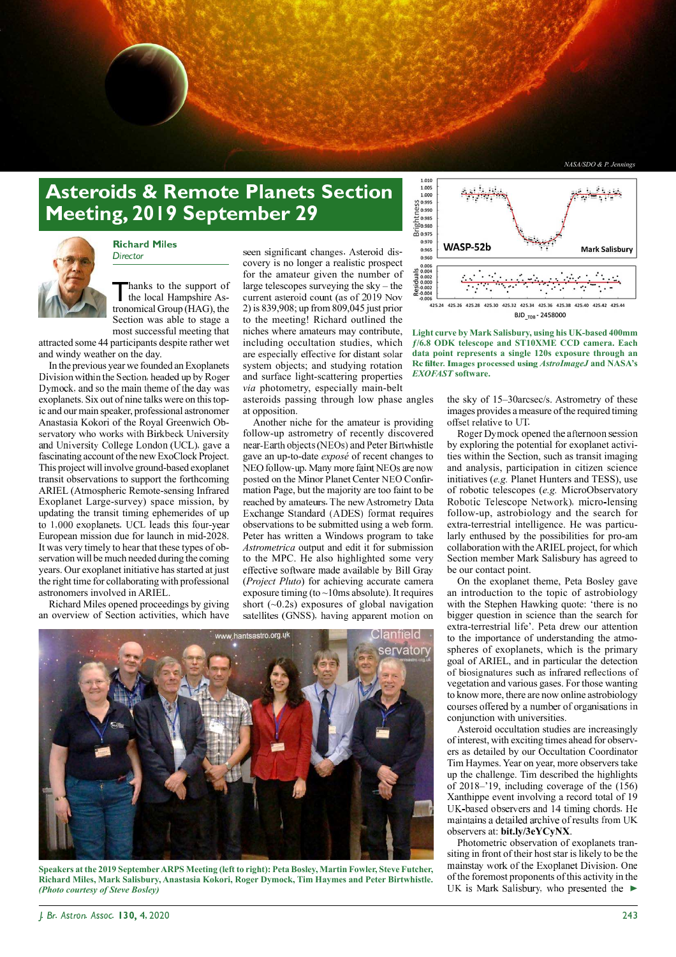

## **Asteroids & Remote Planets Section**  $\overline{\text{Meeting}}$ , 2019 September 29



**Richard Miles** Director

hanks to the support of the local Hampshire Astronomical Group (HAG), the Section was able to stage a most successful meeting that

attracted some 44 participants despite rather wet and windy weather on the day.

In the previous year we founded an Exoplanets Division within the Section, headed up by Roger Dymock, and so the main theme of the day was exoplanets. Six out of nine talks were on this topic and our main speaker, professional astronomer Anastasia Kokori of the Royal Greenwich Ob servatory who works with Birkbeck University and University College London (UCL), gave a fascinating account of the new ExoClock Project. This project will involve ground-based exoplanet transit observations to support the forthcoming ARIEL (Atmospheric Remote-sensing Infrared Exoplanet Large-survey) space mission, by updating the transit timing ephemerides of up to 1,000 exoplanets. UCL leads this four-year European mission due for launch in mid-2028. It was very timely to hear that these types of observation will be much needed during the coming years. Our exoplanet initiative has started at just the right time for collaborating with professional astronomers involved in ARIEL.

Richard Miles opened proceedings by giving an overview of Section activities, which have seen significant changes. Asteroid discovery is no longer a realistic prospect for the amateur given the number of large telescopes surveying the  $sky$  – the current asteroid count (as of 2019 Nov 2) is 839,908; up from 809,045 just prior to the meeting! Richard outlined the niches where amateurs may contribute, including occultation studies, which are especially effective for distant solar system objects; and studying rotation and surface light-scattering properties *via* photometry, especially main-belt

asteroids passing through low phase angles at opposition.

Another niche for the amateur is providing follow-up astrometry of recently discovered near-Earth objects (NEOs) and Peter Birtwhistle gave an up-to-date *exposÈ* of recent changes to NEO follow-up. Many more faint NEOs are now posted on the Minor Planet Center NEO Confirmation Page, but the majority are too faint to be reached by amateurs. The new Astrometry Data Exchange Standard (ADES) format requires observations to be submitted using a web form. Peter has written a Windows program to take *Astrometrica* output and edit it for submission to the MPC. He also highlighted some very effective software made available by Bill Gray (*Project Pluto*) for achieving accurate camera exposure timing (to  $\sim$ 10ms absolute). It requires short  $(-0.2s)$  exposures of global navigation satellites (GNSS), having apparent motion on



**Speakers at the 2019 September ARPS Meeting (left to right): Peta Bosley, Martin Fowler, Steve Futcher, Richard Miles, Mark Salisbury, Anastasia Kokori, Roger Dymock, Tim Haymes and Peter Birtwhistle.**  *(Photo courtesy of Steve Bosley)*



**Light curve by Mark Salisbury, using his UK-based 400mm É/6.8 ODK telescope and ST10XME CCD camera. Each data point represents a single 120s exposure through an**  Re filter. Images processed using *AstroImageJ* and NASA's *EXOFAST* **software.**

the sky of 15–30arcsec/s. Astrometry of these images provides a measure of the required timing offset relative to UT.

Roger Dymock opened the afternoon session by exploring the potential for exoplanet activities within the Section, such as transit imaging and analysis, participation in citizen science initiatives (*e.g.* Planet Hunters and TESS), use of robotic telescopes (*e.g.* MicroObservatory Robotic Telescope Network), micro-lensing follow-up, astrobiology and the search for extra-terrestrial intelligence. He was particularly enthused by the possibilities for pro-am collaboration with the ARIEL project, for which Section member Mark Salisbury has agreed to be our contact point.

On the exoplanet theme, Peta Bosley gave an introduction to the topic of astrobiology with the Stephen Hawking quote: 'there is no bigger question in science than the search for extra-terrestrial life'. Peta drew our attention to the importance of understanding the atmospheres of exoplanets, which is the primary goal of ARIEL, and in particular the detection of biosignatures such as infrared reflections of vegetation and various gases. For those wanting to know more, there are now online astrobiology courses offered by a number of organisations in conjunction with universities.

Asteroid occultation studies are increasingly of interest, with exciting times ahead for observers as detailed by our Occultation Coordinator Tim Haymes. Year on year, more observers take up the challenge. Tim described the highlights of 2018 $-19$ , including coverage of the (156) Xanthippe event involving a record total of 19 UK-based observers and 14 timing chords. He maintains a detailed archive of results from UK observers at: **bit.ly/3eYCyNX**.

Photometric observation of exoplanets transiting in front of their host star is likely to be the mainstay work of the Exoplanet Division. One of the foremost proponents of this activity in the UK is Mark Salisbury, who presented the  $\blacktriangleright$